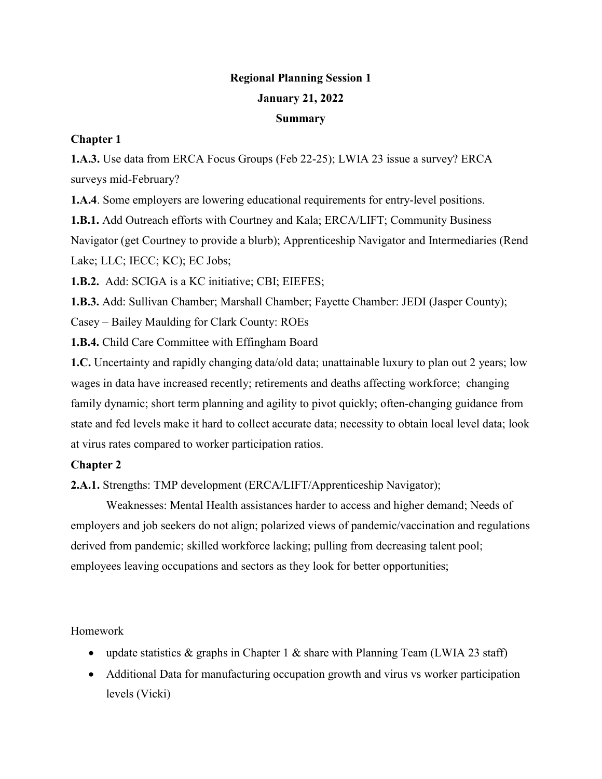## **Regional Planning Session 1 January 21, 2022**

## **Summary**

## **Chapter 1**

**1.A.3.** Use data from ERCA Focus Groups (Feb 22-25); LWIA 23 issue a survey? ERCA surveys mid-February?

**1.A.4**. Some employers are lowering educational requirements for entry-level positions.

**1.B.1.** Add Outreach efforts with Courtney and Kala; ERCA/LIFT; Community Business Navigator (get Courtney to provide a blurb); Apprenticeship Navigator and Intermediaries (Rend Lake; LLC; IECC; KC); EC Jobs;

**1.B.2.** Add: SCIGA is a KC initiative; CBI; EIEFES;

**1.B.3.** Add: Sullivan Chamber; Marshall Chamber; Fayette Chamber: JEDI (Jasper County);

Casey – Bailey Maulding for Clark County: ROEs

**1.B.4.** Child Care Committee with Effingham Board

**1.C.** Uncertainty and rapidly changing data/old data; unattainable luxury to plan out 2 years; low wages in data have increased recently; retirements and deaths affecting workforce; changing family dynamic; short term planning and agility to pivot quickly; often-changing guidance from state and fed levels make it hard to collect accurate data; necessity to obtain local level data; look at virus rates compared to worker participation ratios.

## **Chapter 2**

**2.A.1.** Strengths: TMP development (ERCA/LIFT/Apprenticeship Navigator);

Weaknesses: Mental Health assistances harder to access and higher demand; Needs of employers and job seekers do not align; polarized views of pandemic/vaccination and regulations derived from pandemic; skilled workforce lacking; pulling from decreasing talent pool; employees leaving occupations and sectors as they look for better opportunities;

Homework

- update statistics & graphs in Chapter 1 & share with Planning Team (LWIA 23 staff)
- Additional Data for manufacturing occupation growth and virus vs worker participation levels (Vicki)